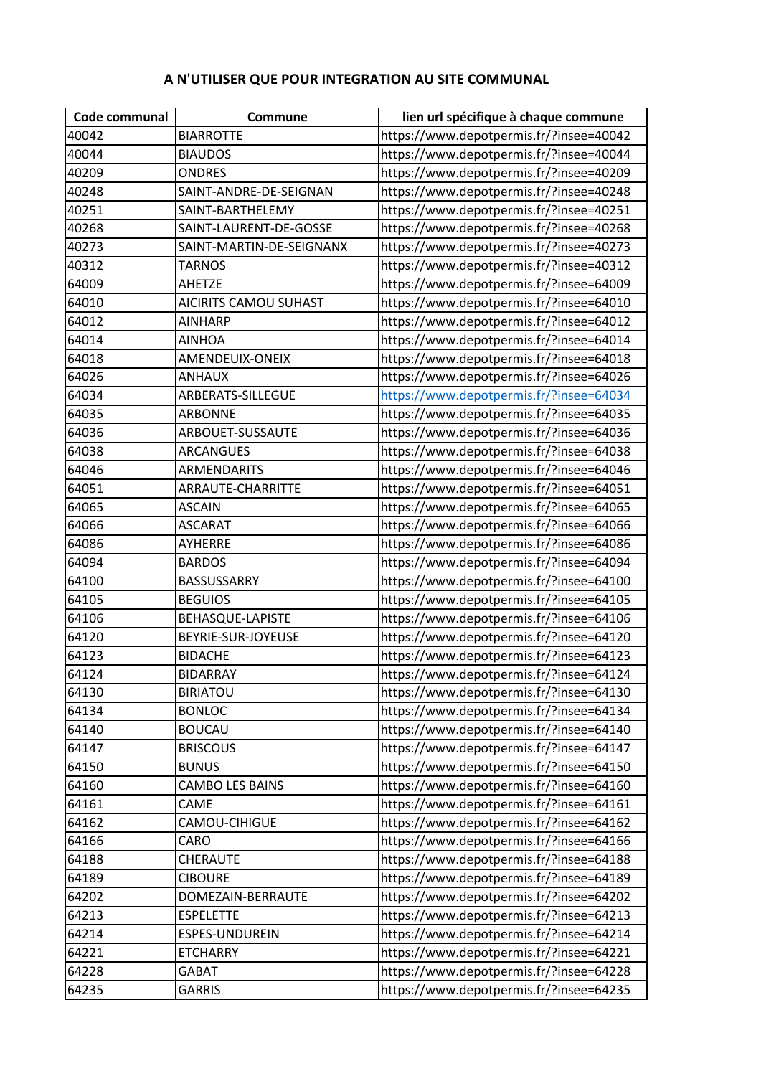## **A N'UTILISER QUE POUR INTEGRATION AU SITE COMMUNAL**

| Code communal | Commune                      | lien url spécifique à chaque commune    |
|---------------|------------------------------|-----------------------------------------|
| 40042         | <b>BIARROTTE</b>             | https://www.depotpermis.fr/?insee=40042 |
| 40044         | <b>BIAUDOS</b>               | https://www.depotpermis.fr/?insee=40044 |
| 40209         | <b>ONDRES</b>                | https://www.depotpermis.fr/?insee=40209 |
| 40248         | SAINT-ANDRE-DE-SEIGNAN       | https://www.depotpermis.fr/?insee=40248 |
| 40251         | SAINT-BARTHELEMY             | https://www.depotpermis.fr/?insee=40251 |
| 40268         | SAINT-LAURENT-DE-GOSSE       | https://www.depotpermis.fr/?insee=40268 |
| 40273         | SAINT-MARTIN-DE-SEIGNANX     | https://www.depotpermis.fr/?insee=40273 |
| 40312         | <b>TARNOS</b>                | https://www.depotpermis.fr/?insee=40312 |
| 64009         | <b>AHETZE</b>                | https://www.depotpermis.fr/?insee=64009 |
| 64010         | <b>AICIRITS CAMOU SUHAST</b> | https://www.depotpermis.fr/?insee=64010 |
| 64012         | <b>AINHARP</b>               | https://www.depotpermis.fr/?insee=64012 |
| 64014         | <b>AINHOA</b>                | https://www.depotpermis.fr/?insee=64014 |
| 64018         | AMENDEUIX-ONEIX              | https://www.depotpermis.fr/?insee=64018 |
| 64026         | <b>ANHAUX</b>                | https://www.depotpermis.fr/?insee=64026 |
| 64034         | ARBERATS-SILLEGUE            | https://www.depotpermis.fr/?insee=64034 |
| 64035         | <b>ARBONNE</b>               | https://www.depotpermis.fr/?insee=64035 |
| 64036         | ARBOUET-SUSSAUTE             | https://www.depotpermis.fr/?insee=64036 |
| 64038         | <b>ARCANGUES</b>             | https://www.depotpermis.fr/?insee=64038 |
| 64046         | ARMENDARITS                  | https://www.depotpermis.fr/?insee=64046 |
| 64051         | ARRAUTE-CHARRITTE            | https://www.depotpermis.fr/?insee=64051 |
| 64065         | <b>ASCAIN</b>                | https://www.depotpermis.fr/?insee=64065 |
| 64066         | <b>ASCARAT</b>               | https://www.depotpermis.fr/?insee=64066 |
| 64086         | AYHERRE                      | https://www.depotpermis.fr/?insee=64086 |
| 64094         | <b>BARDOS</b>                | https://www.depotpermis.fr/?insee=64094 |
| 64100         | BASSUSSARRY                  | https://www.depotpermis.fr/?insee=64100 |
| 64105         | <b>BEGUIOS</b>               | https://www.depotpermis.fr/?insee=64105 |
| 64106         | BEHASQUE-LAPISTE             | https://www.depotpermis.fr/?insee=64106 |
| 64120         | BEYRIE-SUR-JOYEUSE           | https://www.depotpermis.fr/?insee=64120 |
| 64123         | <b>BIDACHE</b>               | https://www.depotpermis.fr/?insee=64123 |
| 64124         | <b>BIDARRAY</b>              | https://www.depotpermis.fr/?insee=64124 |
| 64130         | <b>BIRIATOU</b>              | https://www.depotpermis.fr/?insee=64130 |
| 64134         | <b>BONLOC</b>                | https://www.depotpermis.fr/?insee=64134 |
| 64140         | <b>BOUCAU</b>                | https://www.depotpermis.fr/?insee=64140 |
| 64147         | <b>BRISCOUS</b>              | https://www.depotpermis.fr/?insee=64147 |
| 64150         | <b>BUNUS</b>                 | https://www.depotpermis.fr/?insee=64150 |
| 64160         | CAMBO LES BAINS              | https://www.depotpermis.fr/?insee=64160 |
| 64161         | CAME                         | https://www.depotpermis.fr/?insee=64161 |
| 64162         | CAMOU-CIHIGUE                | https://www.depotpermis.fr/?insee=64162 |
| 64166         | CARO                         | https://www.depotpermis.fr/?insee=64166 |
| 64188         | CHERAUTE                     | https://www.depotpermis.fr/?insee=64188 |
| 64189         | <b>CIBOURE</b>               | https://www.depotpermis.fr/?insee=64189 |
| 64202         | DOMEZAIN-BERRAUTE            | https://www.depotpermis.fr/?insee=64202 |
| 64213         | <b>ESPELETTE</b>             | https://www.depotpermis.fr/?insee=64213 |
| 64214         | ESPES-UNDUREIN               | https://www.depotpermis.fr/?insee=64214 |
| 64221         | <b>ETCHARRY</b>              | https://www.depotpermis.fr/?insee=64221 |
| 64228         | <b>GABAT</b>                 | https://www.depotpermis.fr/?insee=64228 |
| 64235         | <b>GARRIS</b>                | https://www.depotpermis.fr/?insee=64235 |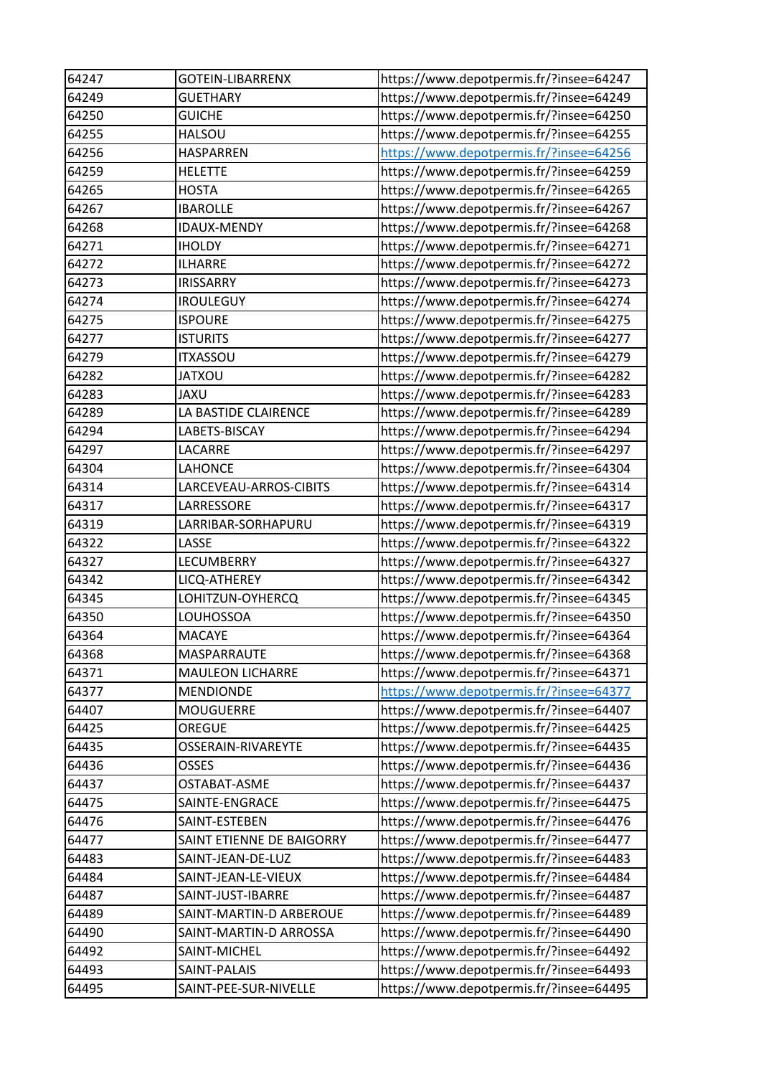| 64247 | <b>GOTEIN-LIBARRENX</b>   | https://www.depotpermis.fr/?insee=64247 |
|-------|---------------------------|-----------------------------------------|
| 64249 | <b>GUETHARY</b>           | https://www.depotpermis.fr/?insee=64249 |
| 64250 | <b>GUICHE</b>             | https://www.depotpermis.fr/?insee=64250 |
| 64255 | <b>HALSOU</b>             | https://www.depotpermis.fr/?insee=64255 |
| 64256 | <b>HASPARREN</b>          | https://www.depotpermis.fr/?insee=64256 |
| 64259 | <b>HELETTE</b>            | https://www.depotpermis.fr/?insee=64259 |
| 64265 | <b>HOSTA</b>              | https://www.depotpermis.fr/?insee=64265 |
| 64267 | <b>IBAROLLE</b>           | https://www.depotpermis.fr/?insee=64267 |
| 64268 | <b>IDAUX-MENDY</b>        | https://www.depotpermis.fr/?insee=64268 |
| 64271 | <b>IHOLDY</b>             | https://www.depotpermis.fr/?insee=64271 |
| 64272 | <b>ILHARRE</b>            | https://www.depotpermis.fr/?insee=64272 |
| 64273 | <b>IRISSARRY</b>          | https://www.depotpermis.fr/?insee=64273 |
| 64274 | <b>IROULEGUY</b>          | https://www.depotpermis.fr/?insee=64274 |
| 64275 | <b>ISPOURE</b>            | https://www.depotpermis.fr/?insee=64275 |
| 64277 | <b>ISTURITS</b>           | https://www.depotpermis.fr/?insee=64277 |
| 64279 | <b>ITXASSOU</b>           | https://www.depotpermis.fr/?insee=64279 |
| 64282 | <b>JATXOU</b>             | https://www.depotpermis.fr/?insee=64282 |
| 64283 | JAXU                      | https://www.depotpermis.fr/?insee=64283 |
| 64289 | LA BASTIDE CLAIRENCE      | https://www.depotpermis.fr/?insee=64289 |
| 64294 | LABETS-BISCAY             | https://www.depotpermis.fr/?insee=64294 |
| 64297 | LACARRE                   | https://www.depotpermis.fr/?insee=64297 |
| 64304 | <b>LAHONCE</b>            | https://www.depotpermis.fr/?insee=64304 |
| 64314 | LARCEVEAU-ARROS-CIBITS    | https://www.depotpermis.fr/?insee=64314 |
| 64317 | LARRESSORE                | https://www.depotpermis.fr/?insee=64317 |
| 64319 | LARRIBAR-SORHAPURU        | https://www.depotpermis.fr/?insee=64319 |
| 64322 | LASSE                     | https://www.depotpermis.fr/?insee=64322 |
| 64327 | LECUMBERRY                | https://www.depotpermis.fr/?insee=64327 |
| 64342 | LICQ-ATHEREY              | https://www.depotpermis.fr/?insee=64342 |
| 64345 | LOHITZUN-OYHERCQ          | https://www.depotpermis.fr/?insee=64345 |
| 64350 | LOUHOSSOA                 | https://www.depotpermis.fr/?insee=64350 |
| 64364 | <b>MACAYE</b>             | https://www.depotpermis.fr/?insee=64364 |
| 64368 | MASPARRAUTE               | https://www.depotpermis.fr/?insee=64368 |
| 64371 | <b>MAULEON LICHARRE</b>   | https://www.depotpermis.fr/?insee=64371 |
| 64377 | <b>MENDIONDE</b>          | https://www.depotpermis.fr/?insee=64377 |
| 64407 | <b>MOUGUERRE</b>          | https://www.depotpermis.fr/?insee=64407 |
| 64425 | OREGUE                    | https://www.depotpermis.fr/?insee=64425 |
| 64435 | OSSERAIN-RIVAREYTE        | https://www.depotpermis.fr/?insee=64435 |
| 64436 | <b>OSSES</b>              | https://www.depotpermis.fr/?insee=64436 |
| 64437 | OSTABAT-ASME              | https://www.depotpermis.fr/?insee=64437 |
| 64475 | SAINTE-ENGRACE            | https://www.depotpermis.fr/?insee=64475 |
| 64476 | SAINT-ESTEBEN             | https://www.depotpermis.fr/?insee=64476 |
| 64477 | SAINT ETIENNE DE BAIGORRY | https://www.depotpermis.fr/?insee=64477 |
| 64483 | SAINT-JEAN-DE-LUZ         | https://www.depotpermis.fr/?insee=64483 |
| 64484 | SAINT-JEAN-LE-VIEUX       | https://www.depotpermis.fr/?insee=64484 |
| 64487 | SAINT-JUST-IBARRE         | https://www.depotpermis.fr/?insee=64487 |
| 64489 | SAINT-MARTIN-D ARBEROUE   | https://www.depotpermis.fr/?insee=64489 |
| 64490 | SAINT-MARTIN-D ARROSSA    | https://www.depotpermis.fr/?insee=64490 |
| 64492 | SAINT-MICHEL              | https://www.depotpermis.fr/?insee=64492 |
| 64493 | SAINT-PALAIS              | https://www.depotpermis.fr/?insee=64493 |
| 64495 | SAINT-PEE-SUR-NIVELLE     | https://www.depotpermis.fr/?insee=64495 |